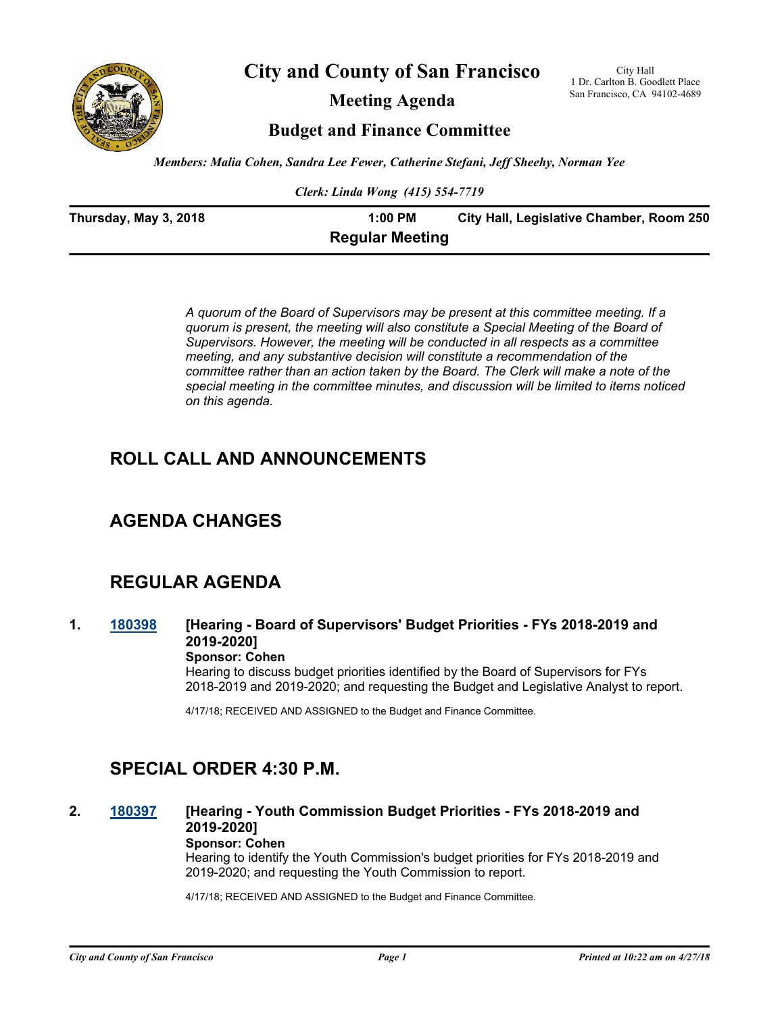

**City and County of San Francisco**

**Meeting Agenda**

City Hall 1 Dr. Carlton B. Goodlett Place San Francisco, CA 94102-4689

**Budget and Finance Committee**

*Members: Malia Cohen, Sandra Lee Fewer, Catherine Stefani, Jeff Sheehy, Norman Yee*

*Clerk: Linda Wong (415) 554-7719*

| Thursday, May 3, 2018 | 1:00 PM                | City Hall, Legislative Chamber, Room 250 |
|-----------------------|------------------------|------------------------------------------|
|                       | <b>Regular Meeting</b> |                                          |

*A quorum of the Board of Supervisors may be present at this committee meeting. If a quorum is present, the meeting will also constitute a Special Meeting of the Board of Supervisors. However, the meeting will be conducted in all respects as a committee meeting, and any substantive decision will constitute a recommendation of the committee rather than an action taken by the Board. The Clerk will make a note of the special meeting in the committee minutes, and discussion will be limited to items noticed on this agenda.*

## **ROLL CALL AND ANNOUNCEMENTS**

## **AGENDA CHANGES**

## **REGULAR AGENDA**

**1. [180398](http://sfgov.legistar.com/gateway.aspx?m=l&id=33267) [Hearing - Board of Supervisors' Budget Priorities - FYs 2018-2019 and 2019-2020]**

#### **Sponsor: Cohen**

Hearing to discuss budget priorities identified by the Board of Supervisors for FYs 2018-2019 and 2019-2020; and requesting the Budget and Legislative Analyst to report.

4/17/18; RECEIVED AND ASSIGNED to the Budget and Finance Committee.

## **SPECIAL ORDER 4:30 P.M.**

#### **2. [180397](http://sfgov.legistar.com/gateway.aspx?m=l&id=33266) [Hearing - Youth Commission Budget Priorities - FYs 2018-2019 and 2019-2020] Sponsor: Cohen**

Hearing to identify the Youth Commission's budget priorities for FYs 2018-2019 and 2019-2020; and requesting the Youth Commission to report.

4/17/18; RECEIVED AND ASSIGNED to the Budget and Finance Committee.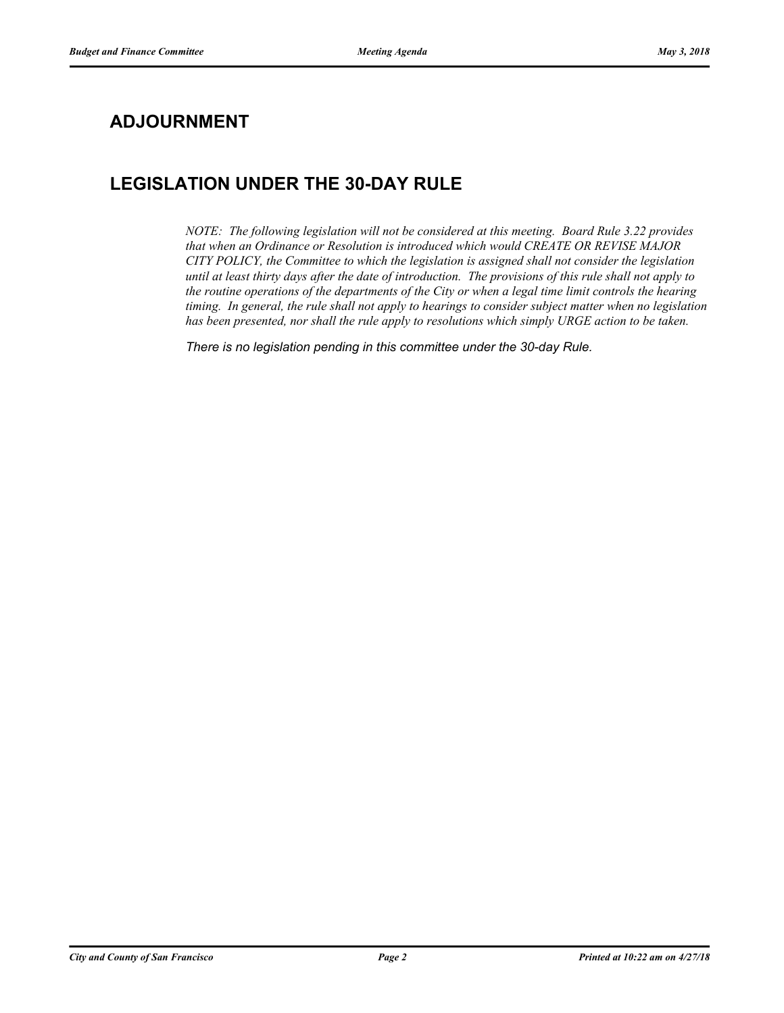## **ADJOURNMENT**

# **LEGISLATION UNDER THE 30-DAY RULE**

*NOTE: The following legislation will not be considered at this meeting. Board Rule 3.22 provides that when an Ordinance or Resolution is introduced which would CREATE OR REVISE MAJOR CITY POLICY, the Committee to which the legislation is assigned shall not consider the legislation until at least thirty days after the date of introduction. The provisions of this rule shall not apply to the routine operations of the departments of the City or when a legal time limit controls the hearing timing. In general, the rule shall not apply to hearings to consider subject matter when no legislation has been presented, nor shall the rule apply to resolutions which simply URGE action to be taken.*

*There is no legislation pending in this committee under the 30-day Rule.*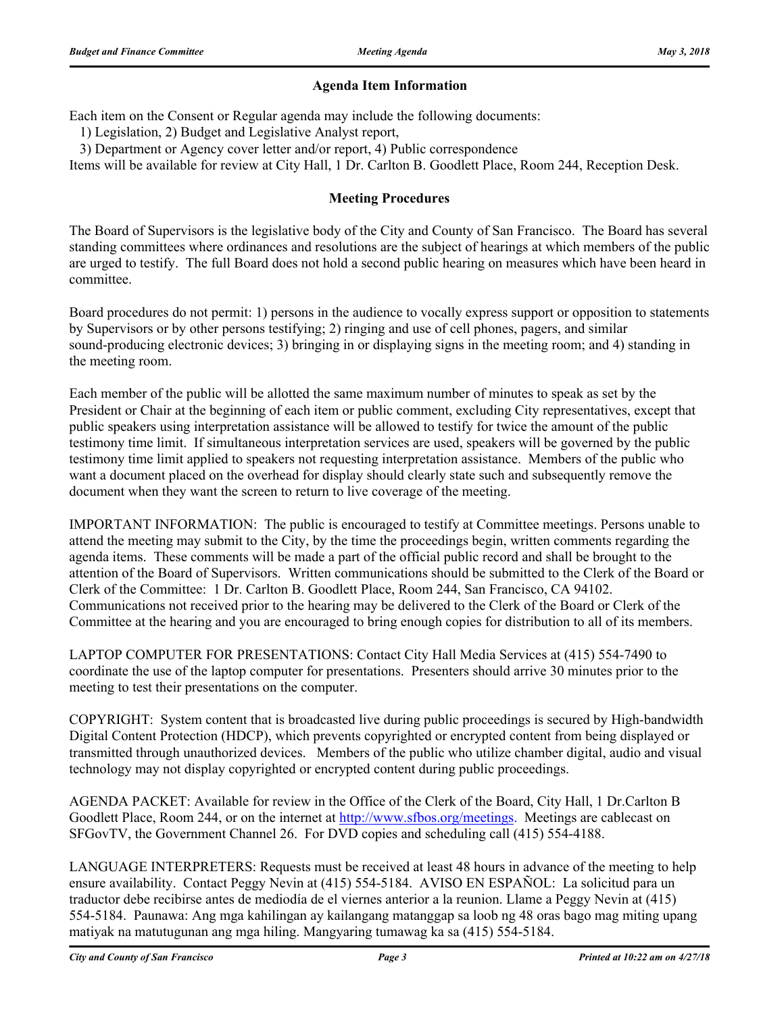#### **Agenda Item Information**

Each item on the Consent or Regular agenda may include the following documents:

1) Legislation, 2) Budget and Legislative Analyst report,

3) Department or Agency cover letter and/or report, 4) Public correspondence

Items will be available for review at City Hall, 1 Dr. Carlton B. Goodlett Place, Room 244, Reception Desk.

#### **Meeting Procedures**

The Board of Supervisors is the legislative body of the City and County of San Francisco. The Board has several standing committees where ordinances and resolutions are the subject of hearings at which members of the public are urged to testify. The full Board does not hold a second public hearing on measures which have been heard in committee.

Board procedures do not permit: 1) persons in the audience to vocally express support or opposition to statements by Supervisors or by other persons testifying; 2) ringing and use of cell phones, pagers, and similar sound-producing electronic devices; 3) bringing in or displaying signs in the meeting room; and 4) standing in the meeting room.

Each member of the public will be allotted the same maximum number of minutes to speak as set by the President or Chair at the beginning of each item or public comment, excluding City representatives, except that public speakers using interpretation assistance will be allowed to testify for twice the amount of the public testimony time limit. If simultaneous interpretation services are used, speakers will be governed by the public testimony time limit applied to speakers not requesting interpretation assistance. Members of the public who want a document placed on the overhead for display should clearly state such and subsequently remove the document when they want the screen to return to live coverage of the meeting.

IMPORTANT INFORMATION: The public is encouraged to testify at Committee meetings. Persons unable to attend the meeting may submit to the City, by the time the proceedings begin, written comments regarding the agenda items. These comments will be made a part of the official public record and shall be brought to the attention of the Board of Supervisors. Written communications should be submitted to the Clerk of the Board or Clerk of the Committee: 1 Dr. Carlton B. Goodlett Place, Room 244, San Francisco, CA 94102. Communications not received prior to the hearing may be delivered to the Clerk of the Board or Clerk of the Committee at the hearing and you are encouraged to bring enough copies for distribution to all of its members.

LAPTOP COMPUTER FOR PRESENTATIONS: Contact City Hall Media Services at (415) 554-7490 to coordinate the use of the laptop computer for presentations. Presenters should arrive 30 minutes prior to the meeting to test their presentations on the computer.

COPYRIGHT: System content that is broadcasted live during public proceedings is secured by High-bandwidth Digital Content Protection (HDCP), which prevents copyrighted or encrypted content from being displayed or transmitted through unauthorized devices. Members of the public who utilize chamber digital, audio and visual technology may not display copyrighted or encrypted content during public proceedings.

AGENDA PACKET: Available for review in the Office of the Clerk of the Board, City Hall, 1 Dr.Carlton B Goodlett Place, Room 244, or on the internet at http://www.sfbos.org/meetings. Meetings are cablecast on SFGovTV, the Government Channel 26. For DVD copies and scheduling call (415) 554-4188.

LANGUAGE INTERPRETERS: Requests must be received at least 48 hours in advance of the meeting to help ensure availability. Contact Peggy Nevin at (415) 554-5184. AVISO EN ESPAÑOL: La solicitud para un traductor debe recibirse antes de mediodía de el viernes anterior a la reunion. Llame a Peggy Nevin at (415) 554-5184. Paunawa: Ang mga kahilingan ay kailangang matanggap sa loob ng 48 oras bago mag miting upang matiyak na matutugunan ang mga hiling. Mangyaring tumawag ka sa (415) 554-5184.